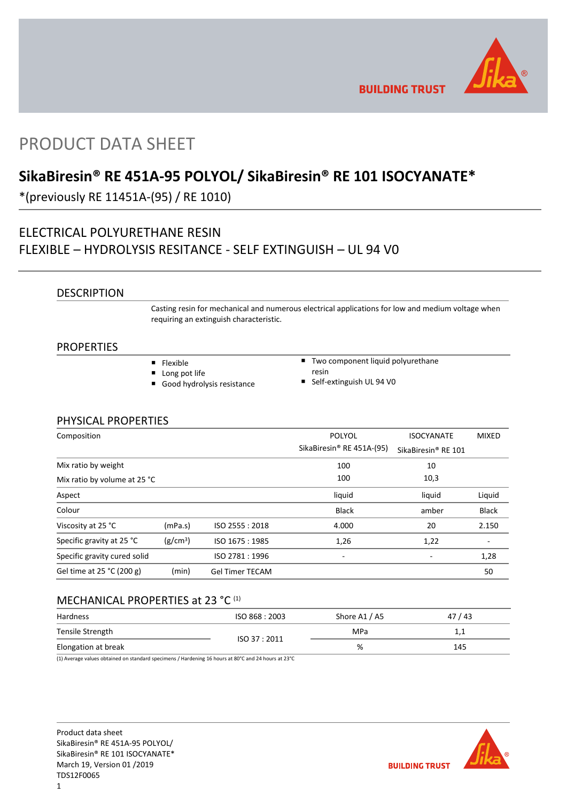

**BUILDING TRUST** 

# PRODUCT DATA SHEET

# **SikaBiresin® RE 451A-95 POLYOL/ SikaBiresin® RE 101 ISOCYANATE\***

\*(previously RE 11451A-(95) / RE 1010)

# ELECTRICAL POLYURETHANE RESIN FLEXIBLE – HYDROLYSIS RESITANCE - SELF EXTINGUISH – UL 94 V0

## DESCRIPTION

Casting resin for mechanical and numerous electrical applications for low and medium voltage when requiring an extinguish characteristic.

## PROPERTIES

- **Flexible**
- **Long pot life**
- Good hydrolysis resistance
- Two component liquid polyurethane resin
- Self-extinguish UL 94 V0

## PHYSICAL PROPERTIES

| Composition                  |                      |                        | <b>POLYOL</b>             | <b>ISOCYANATE</b>               | <b>MIXED</b> |
|------------------------------|----------------------|------------------------|---------------------------|---------------------------------|--------------|
|                              |                      |                        | SikaBiresin® RE 451A-(95) | SikaBiresin <sup>®</sup> RE 101 |              |
| Mix ratio by weight          |                      |                        | 100                       | 10                              |              |
| Mix ratio by volume at 25 °C |                      |                        | 100                       | 10,3                            |              |
| Aspect                       |                      |                        | liquid                    | liquid                          | Liquid       |
| Colour                       |                      |                        | <b>Black</b>              | amber                           | <b>Black</b> |
| Viscosity at 25 °C           | (mPa.s)              | ISO 2555: 2018         | 4.000                     | 20                              | 2.150        |
| Specific gravity at 25 °C    | (g/cm <sup>3</sup> ) | ISO 1675: 1985         | 1,26                      | 1,22                            | ۰            |
| Specific gravity cured solid |                      | ISO 2781:1996          | -                         |                                 | 1,28         |
| Gel time at 25 °C (200 g)    | (min)                | <b>Gel Timer TECAM</b> |                           |                                 | 50           |

# MECHANICAL PROPERTIES at 23 °C (1)

| Hardness            | ISO 868 : 2003 | Shore A1 / A5 | 47/43 |
|---------------------|----------------|---------------|-------|
| Tensile Strength    | ISO 37:2011    | MPa           | 1,1   |
| Elongation at break |                | %             | 145   |

(1) Average values obtained on standard specimens / Hardening 16 hours at 80°C and 24 hours at 23°C

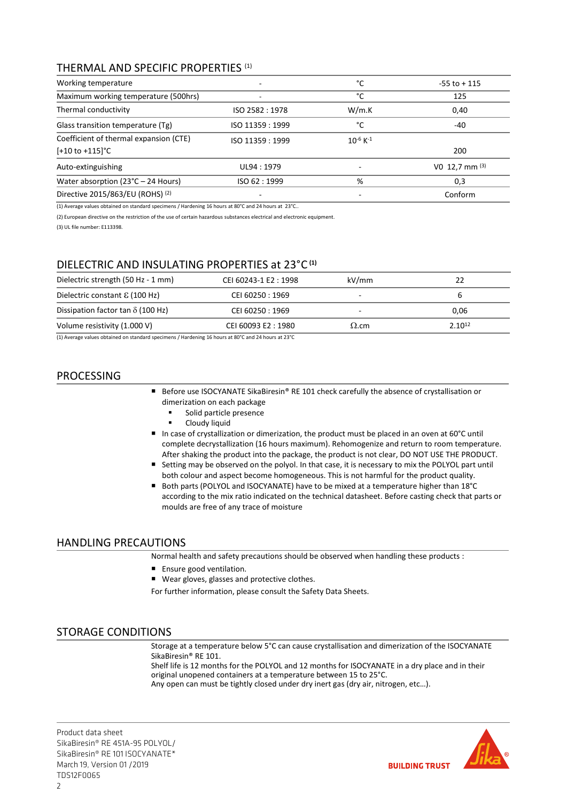# THERMAL AND SPECIFIC PROPERTIES (1)

| Working temperature                                                   |                 | °C                        | $-55$ to $+115$  |  |
|-----------------------------------------------------------------------|-----------------|---------------------------|------------------|--|
| Maximum working temperature (500hrs)                                  | °C              | 125                       |                  |  |
| Thermal conductivity                                                  | ISO 2582: 1978  | W/m.K                     | 0.40             |  |
| Glass transition temperature (Tg)                                     | ISO 11359: 1999 | °C                        | -40              |  |
| Coefficient of thermal expansion (CTE)<br>$[-10 \text{ to } +115]$ °C | ISO 11359: 1999 | $10^{-6}$ K <sup>-1</sup> | 200              |  |
| Auto-extinguishing                                                    | UL94: 1979      |                           | V0 12,7 mm $(3)$ |  |
| Water absorption ( $23^{\circ}$ C – 24 Hours)                         | ISO 62:1999     | %                         | 0,3              |  |
| Directive 2015/863/EU (ROHS) (2)                                      |                 |                           | Conform          |  |

(1) Average values obtained on standard specimens / Hardening 16 hours at 80°C and 24 hours at 23°C..

(2) European directive on the restriction of the use of certain hazardous substances electrical and electronic equipment.

(3) UL file number: E113398.

# DIELECTRIC AND INSULATING PROPERTIES at 23°C **(1)**

| Dielectric strength (50 Hz - 1 mm)       | CEI 60243-1 E2: 1998 | kV/mm        | 22          |
|------------------------------------------|----------------------|--------------|-------------|
| Dielectric constant $\epsilon$ (100 Hz)  | CEI 60250 : 1969     |              |             |
| Dissipation factor tan $\delta$ (100 Hz) | CEI 60250 : 1969     |              | 0.06        |
| Volume resistivity (1.000 V)             | CEI 60093 E2:1980    | $\Omega$ .cm | $2.10^{12}$ |

(1) Average values obtained on standard specimens / Hardening 16 hours at 80°C and 24 hours at 23°C

# PROCESSING

- Before use ISOCYANATE SikaBiresin® RE 101 check carefully the absence of crystallisation or dimerization on each package
	- Solid particle presence
	- Cloudy liquid
- In case of crystallization or dimerization, the product must be placed in an oven at 60°C until complete decrystallization (16 hours maximum). Rehomogenize and return to room temperature. After shaking the product into the package, the product is not clear, DO NOT USE THE PRODUCT.
- Setting may be observed on the polyol. In that case, it is necessary to mix the POLYOL part until both colour and aspect become homogeneous. This is not harmful for the product quality.
- Both parts (POLYOL and ISOCYANATE) have to be mixed at a temperature higher than 18°C according to the mix ratio indicated on the technical datasheet. Before casting check that parts or moulds are free of any trace of moisture

## HANDLING PRECAUTIONS

Normal health and safety precautions should be observed when handling these products :

- **Ensure good ventilation.**
- Wear gloves, glasses and protective clothes.

For further information, please consult the Safety Data Sheets.

## STORAGE CONDITIONS

Storage at a temperature below 5°C can cause crystallisation and dimerization of the ISOCYANATE SikaBiresin® RE 101.

Shelf life is 12 months for the POLYOL and 12 months for ISOCYANATE in a dry place and in their original unopened containers at a temperature between 15 to 25°C. Any open can must be tightly closed under dry inert gas (dry air, nitrogen, etc…).

Product data sheet SikaBiresin® RE 451A-95 POLYOL/ SikaBiresin® RE 101 ISOCYANATE\* March 19, Version 01 /2019 TDS12F0065

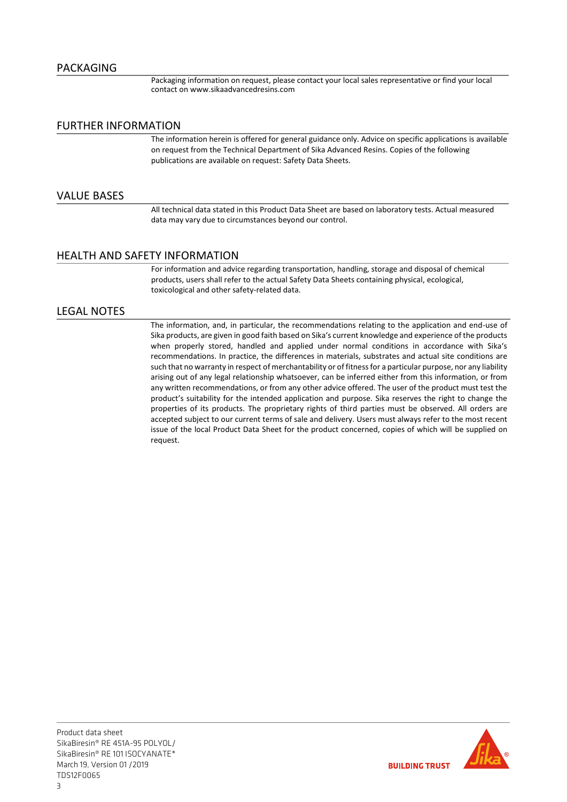Packaging information on request, please contact your local sales representative or find your local contact on www.sikaadvancedresins.com

## FURTHER INFORMATION

The information herein is offered for general guidance only. Advice on specific applications is available on request from the Technical Department of Sika Advanced Resins. Copies of the following publications are available on request: Safety Data Sheets.

## VALUE BASES

All technical data stated in this Product Data Sheet are based on laboratory tests. Actual measured data may vary due to circumstances beyond our control.

## HEALTH AND SAFETY INFORMATION

For information and advice regarding transportation, handling, storage and disposal of chemical products, users shall refer to the actual Safety Data Sheets containing physical, ecological, toxicological and other safety-related data.

## LEGAL NOTES

The information, and, in particular, the recommendations relating to the application and end-use of Sika products, are given in good faith based on Sika's current knowledge and experience of the products when properly stored, handled and applied under normal conditions in accordance with Sika's recommendations. In practice, the differences in materials, substrates and actual site conditions are such that no warranty in respect of merchantability or of fitness for a particular purpose, nor any liability arising out of any legal relationship whatsoever, can be inferred either from this information, or from any written recommendations, or from any other advice offered. The user of the product must test the product's suitability for the intended application and purpose. Sika reserves the right to change the properties of its products. The proprietary rights of third parties must be observed. All orders are accepted subject to our current terms of sale and delivery. Users must always refer to the most recent issue of the local Product Data Sheet for the product concerned, copies of which will be supplied on request.